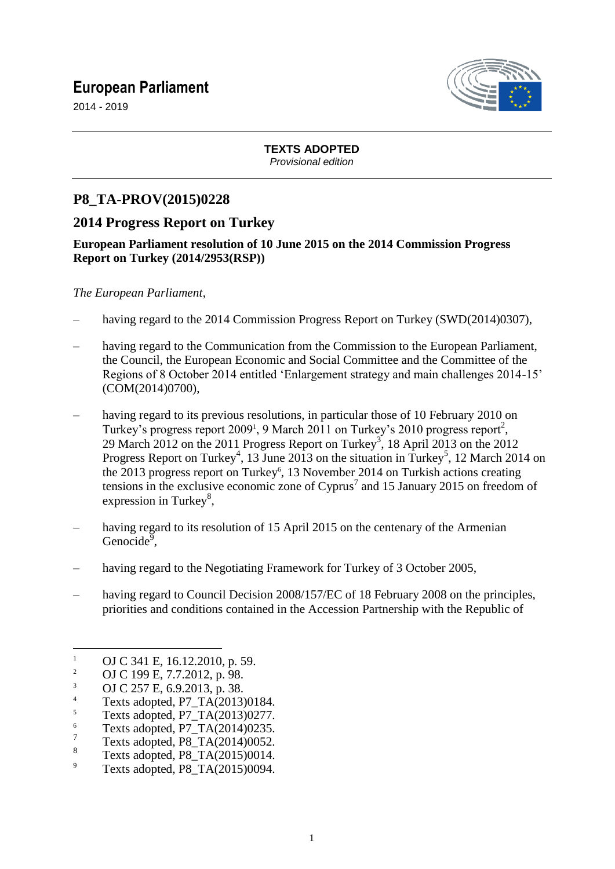## **European Parliament**



2014 - 2019

# **TEXTS ADOPTED**

*Provisional edition*

### **P8\_TA-PROV(2015)0228**

## **2014 Progress Report on Turkey**

#### **European Parliament resolution of 10 June 2015 on the 2014 Commission Progress Report on Turkey (2014/2953(RSP))**

*The European Parliament*,

- having regard to the 2014 Commission Progress Report on Turkey (SWD(2014)0307),
- having regard to the Communication from the Commission to the European Parliament, the Council, the European Economic and Social Committee and the Committee of the Regions of 8 October 2014 entitled 'Enlargement strategy and main challenges 2014-15' (COM(2014)0700),
- having regard to its previous resolutions, in particular those of 10 February 2010 on Turkey's progress report 2009<sup>1</sup>, 9 March 2011 on Turkey's 2010 progress report<sup>2</sup>, 29 March 2012 on the 2011 Progress Report on Turkey<sup>3</sup>, 18 April 2013 on the 2012 Progress Report on Turkey<sup>4</sup>, 13 June 2013 on the situation in Turkey<sup>5</sup>, 12 March 2014 on the 2013 progress report on Turkey<sup>6</sup>, 13 November 2014 on Turkish actions creating tensions in the exclusive economic zone of Cyprus<sup>7</sup> and 15 January 2015 on freedom of expression in Turkey<sup>8</sup>,
- having regard to its resolution of 15 April 2015 on the centenary of the Armenian Genocide<sup>9</sup>,
- having regard to the Negotiating Framework for Turkey of 3 October 2005,
- having regard to Council Decision 2008/157/EC of 18 February 2008 on the principles, priorities and conditions contained in the Accession Partnership with the Republic of

 $\overline{a}$ 

<sup>&</sup>lt;sup>1</sup> OJ C 341 E, 16.12.2010, p. 59.<br><sup>2</sup> OJ C 100 E 7.7.2012 p. 08.

<sup>&</sup>lt;sup>2</sup> OJ C 199 E, 7.7.2012, p. 98.

 $\frac{3}{4}$  OJ C 257 E, 6.9.2013, p. 38.

 $^{4}$  Texts adopted, P7\_TA(2013)0184.

 $\frac{5}{6}$  Texts adopted, P7\_TA(2013)0277.

Texts adopted, P7\_TA(2014)0235.

<sup>7</sup> Texts adopted, P8\_TA(2014)0052.

<sup>8</sup> Texts adopted, P8\_TA(2015)0014.

 $\degree$  Texts adopted, P8\_TA(2015)0094.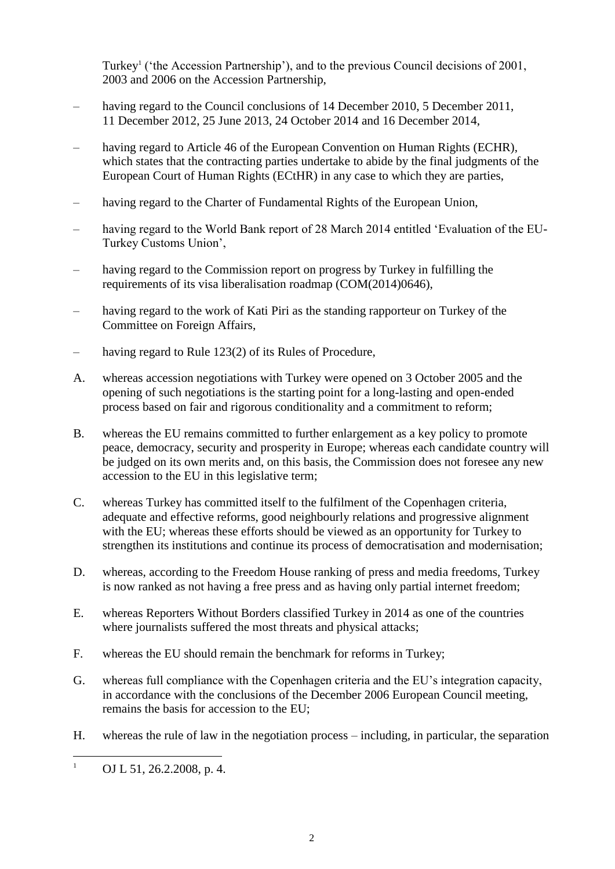Turkey<sup>1</sup> ('the Accession Partnership'), and to the previous Council decisions of 2001, 2003 and 2006 on the Accession Partnership,

- having regard to the Council conclusions of 14 December 2010, 5 December 2011, 11 December 2012, 25 June 2013, 24 October 2014 and 16 December 2014,
- having regard to Article 46 of the European Convention on Human Rights (ECHR), which states that the contracting parties undertake to abide by the final judgments of the European Court of Human Rights (ECtHR) in any case to which they are parties,
- having regard to the Charter of Fundamental Rights of the European Union,
- having regard to the World Bank report of 28 March 2014 entitled 'Evaluation of the EU-Turkey Customs Union',
- having regard to the Commission report on progress by Turkey in fulfilling the requirements of its visa liberalisation roadmap (COM(2014)0646),
- having regard to the work of Kati Piri as the standing rapporteur on Turkey of the Committee on Foreign Affairs,
- having regard to Rule 123(2) of its Rules of Procedure,
- A. whereas accession negotiations with Turkey were opened on 3 October 2005 and the opening of such negotiations is the starting point for a long-lasting and open-ended process based on fair and rigorous conditionality and a commitment to reform;
- B. whereas the EU remains committed to further enlargement as a key policy to promote peace, democracy, security and prosperity in Europe; whereas each candidate country will be judged on its own merits and, on this basis, the Commission does not foresee any new accession to the EU in this legislative term;
- C. whereas Turkey has committed itself to the fulfilment of the Copenhagen criteria, adequate and effective reforms, good neighbourly relations and progressive alignment with the EU; whereas these efforts should be viewed as an opportunity for Turkey to strengthen its institutions and continue its process of democratisation and modernisation;
- D. whereas, according to the Freedom House ranking of press and media freedoms, Turkey is now ranked as not having a free press and as having only partial internet freedom;
- E. whereas Reporters Without Borders classified Turkey in 2014 as one of the countries where journalists suffered the most threats and physical attacks;
- F. whereas the EU should remain the benchmark for reforms in Turkey;
- G. whereas full compliance with the Copenhagen criteria and the EU's integration capacity, in accordance with the conclusions of the December 2006 European Council meeting, remains the basis for accession to the EU;
- H. whereas the rule of law in the negotiation process including, in particular, the separation

 $\mathbf{1}$ OJ L 51, 26.2.2008, p. 4.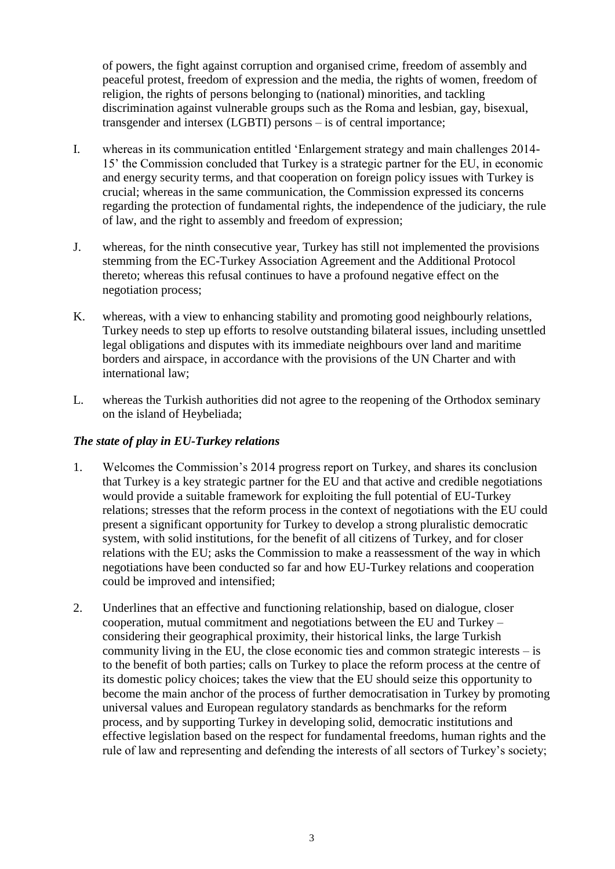of powers, the fight against corruption and organised crime, freedom of assembly and peaceful protest, freedom of expression and the media, the rights of women, freedom of religion, the rights of persons belonging to (national) minorities, and tackling discrimination against vulnerable groups such as the Roma and lesbian, gay, bisexual, transgender and intersex (LGBTI) persons – is of central importance;

- I. whereas in its communication entitled 'Enlargement strategy and main challenges 2014- 15' the Commission concluded that Turkey is a strategic partner for the EU, in economic and energy security terms, and that cooperation on foreign policy issues with Turkey is crucial; whereas in the same communication, the Commission expressed its concerns regarding the protection of fundamental rights, the independence of the judiciary, the rule of law, and the right to assembly and freedom of expression;
- J. whereas, for the ninth consecutive year, Turkey has still not implemented the provisions stemming from the EC-Turkey Association Agreement and the Additional Protocol thereto; whereas this refusal continues to have a profound negative effect on the negotiation process;
- K. whereas, with a view to enhancing stability and promoting good neighbourly relations, Turkey needs to step up efforts to resolve outstanding bilateral issues, including unsettled legal obligations and disputes with its immediate neighbours over land and maritime borders and airspace, in accordance with the provisions of the UN Charter and with international law;
- L. whereas the Turkish authorities did not agree to the reopening of the Orthodox seminary on the island of Heybeliada;

#### *The state of play in EU-Turkey relations*

- 1. Welcomes the Commission's 2014 progress report on Turkey, and shares its conclusion that Turkey is a key strategic partner for the EU and that active and credible negotiations would provide a suitable framework for exploiting the full potential of EU-Turkey relations; stresses that the reform process in the context of negotiations with the EU could present a significant opportunity for Turkey to develop a strong pluralistic democratic system, with solid institutions, for the benefit of all citizens of Turkey, and for closer relations with the EU; asks the Commission to make a reassessment of the way in which negotiations have been conducted so far and how EU-Turkey relations and cooperation could be improved and intensified;
- 2. Underlines that an effective and functioning relationship, based on dialogue, closer cooperation, mutual commitment and negotiations between the EU and Turkey – considering their geographical proximity, their historical links, the large Turkish community living in the EU, the close economic ties and common strategic interests – is to the benefit of both parties; calls on Turkey to place the reform process at the centre of its domestic policy choices; takes the view that the EU should seize this opportunity to become the main anchor of the process of further democratisation in Turkey by promoting universal values and European regulatory standards as benchmarks for the reform process, and by supporting Turkey in developing solid, democratic institutions and effective legislation based on the respect for fundamental freedoms, human rights and the rule of law and representing and defending the interests of all sectors of Turkey's society;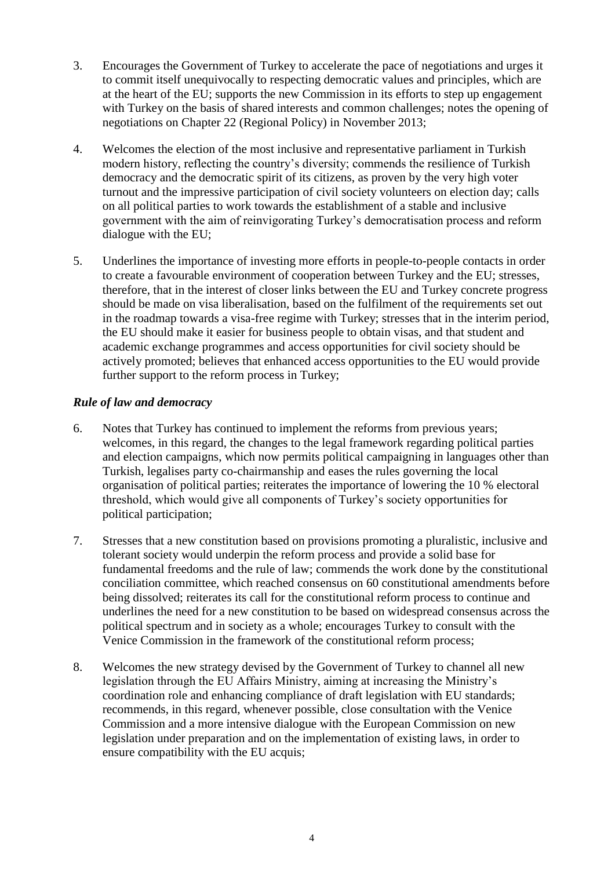- 3. Encourages the Government of Turkey to accelerate the pace of negotiations and urges it to commit itself unequivocally to respecting democratic values and principles, which are at the heart of the EU; supports the new Commission in its efforts to step up engagement with Turkey on the basis of shared interests and common challenges; notes the opening of negotiations on Chapter 22 (Regional Policy) in November 2013;
- 4. Welcomes the election of the most inclusive and representative parliament in Turkish modern history, reflecting the country's diversity; commends the resilience of Turkish democracy and the democratic spirit of its citizens, as proven by the very high voter turnout and the impressive participation of civil society volunteers on election day; calls on all political parties to work towards the establishment of a stable and inclusive government with the aim of reinvigorating Turkey's democratisation process and reform dialogue with the EU;
- 5. Underlines the importance of investing more efforts in people-to-people contacts in order to create a favourable environment of cooperation between Turkey and the EU; stresses, therefore, that in the interest of closer links between the EU and Turkey concrete progress should be made on visa liberalisation, based on the fulfilment of the requirements set out in the roadmap towards a visa-free regime with Turkey; stresses that in the interim period, the EU should make it easier for business people to obtain visas, and that student and academic exchange programmes and access opportunities for civil society should be actively promoted; believes that enhanced access opportunities to the EU would provide further support to the reform process in Turkey;

#### *Rule of law and democracy*

- 6. Notes that Turkey has continued to implement the reforms from previous years; welcomes, in this regard, the changes to the legal framework regarding political parties and election campaigns, which now permits political campaigning in languages other than Turkish, legalises party co-chairmanship and eases the rules governing the local organisation of political parties; reiterates the importance of lowering the 10 % electoral threshold, which would give all components of Turkey's society opportunities for political participation;
- 7. Stresses that a new constitution based on provisions promoting a pluralistic, inclusive and tolerant society would underpin the reform process and provide a solid base for fundamental freedoms and the rule of law; commends the work done by the constitutional conciliation committee, which reached consensus on 60 constitutional amendments before being dissolved; reiterates its call for the constitutional reform process to continue and underlines the need for a new constitution to be based on widespread consensus across the political spectrum and in society as a whole; encourages Turkey to consult with the Venice Commission in the framework of the constitutional reform process;
- 8. Welcomes the new strategy devised by the Government of Turkey to channel all new legislation through the EU Affairs Ministry, aiming at increasing the Ministry's coordination role and enhancing compliance of draft legislation with EU standards; recommends, in this regard, whenever possible, close consultation with the Venice Commission and a more intensive dialogue with the European Commission on new legislation under preparation and on the implementation of existing laws, in order to ensure compatibility with the EU acquis;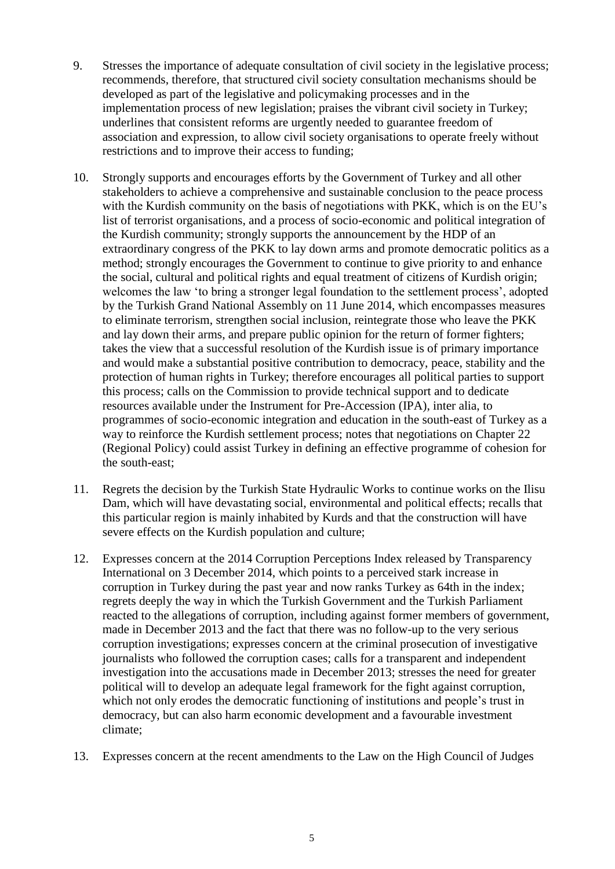- 9. Stresses the importance of adequate consultation of civil society in the legislative process; recommends, therefore, that structured civil society consultation mechanisms should be developed as part of the legislative and policymaking processes and in the implementation process of new legislation; praises the vibrant civil society in Turkey; underlines that consistent reforms are urgently needed to guarantee freedom of association and expression, to allow civil society organisations to operate freely without restrictions and to improve their access to funding;
- 10. Strongly supports and encourages efforts by the Government of Turkey and all other stakeholders to achieve a comprehensive and sustainable conclusion to the peace process with the Kurdish community on the basis of negotiations with PKK, which is on the EU's list of terrorist organisations, and a process of socio-economic and political integration of the Kurdish community; strongly supports the announcement by the HDP of an extraordinary congress of the PKK to lay down arms and promote democratic politics as a method; strongly encourages the Government to continue to give priority to and enhance the social, cultural and political rights and equal treatment of citizens of Kurdish origin; welcomes the law 'to bring a stronger legal foundation to the settlement process', adopted by the Turkish Grand National Assembly on 11 June 2014, which encompasses measures to eliminate terrorism, strengthen social inclusion, reintegrate those who leave the PKK and lay down their arms, and prepare public opinion for the return of former fighters; takes the view that a successful resolution of the Kurdish issue is of primary importance and would make a substantial positive contribution to democracy, peace, stability and the protection of human rights in Turkey; therefore encourages all political parties to support this process; calls on the Commission to provide technical support and to dedicate resources available under the Instrument for Pre-Accession (IPA), inter alia, to programmes of socio-economic integration and education in the south-east of Turkey as a way to reinforce the Kurdish settlement process; notes that negotiations on Chapter 22 (Regional Policy) could assist Turkey in defining an effective programme of cohesion for the south-east;
- 11. Regrets the decision by the Turkish State Hydraulic Works to continue works on the Ilisu Dam, which will have devastating social, environmental and political effects; recalls that this particular region is mainly inhabited by Kurds and that the construction will have severe effects on the Kurdish population and culture;
- 12. Expresses concern at the 2014 Corruption Perceptions Index released by Transparency International on 3 December 2014, which points to a perceived stark increase in corruption in Turkey during the past year and now ranks Turkey as 64th in the index; regrets deeply the way in which the Turkish Government and the Turkish Parliament reacted to the allegations of corruption, including against former members of government, made in December 2013 and the fact that there was no follow-up to the very serious corruption investigations; expresses concern at the criminal prosecution of investigative journalists who followed the corruption cases; calls for a transparent and independent investigation into the accusations made in December 2013; stresses the need for greater political will to develop an adequate legal framework for the fight against corruption, which not only erodes the democratic functioning of institutions and people's trust in democracy, but can also harm economic development and a favourable investment climate;
- 13. Expresses concern at the recent amendments to the Law on the High Council of Judges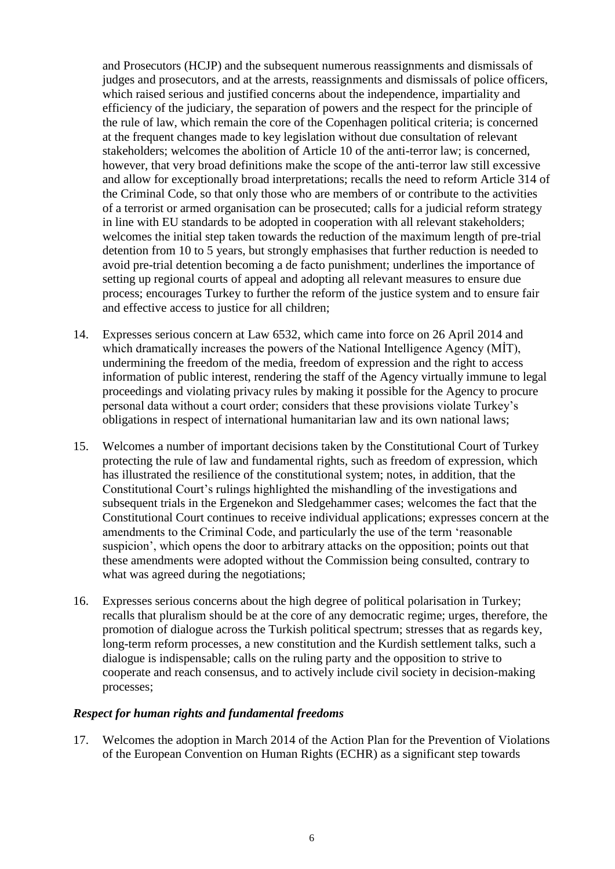and Prosecutors (HCJP) and the subsequent numerous reassignments and dismissals of judges and prosecutors, and at the arrests, reassignments and dismissals of police officers, which raised serious and justified concerns about the independence, impartiality and efficiency of the judiciary, the separation of powers and the respect for the principle of the rule of law, which remain the core of the Copenhagen political criteria; is concerned at the frequent changes made to key legislation without due consultation of relevant stakeholders; welcomes the abolition of Article 10 of the anti-terror law; is concerned, however, that very broad definitions make the scope of the anti-terror law still excessive and allow for exceptionally broad interpretations; recalls the need to reform Article 314 of the Criminal Code, so that only those who are members of or contribute to the activities of a terrorist or armed organisation can be prosecuted; calls for a judicial reform strategy in line with EU standards to be adopted in cooperation with all relevant stakeholders; welcomes the initial step taken towards the reduction of the maximum length of pre-trial detention from 10 to 5 years, but strongly emphasises that further reduction is needed to avoid pre-trial detention becoming a de facto punishment; underlines the importance of setting up regional courts of appeal and adopting all relevant measures to ensure due process; encourages Turkey to further the reform of the justice system and to ensure fair and effective access to justice for all children;

- 14. Expresses serious concern at Law 6532, which came into force on 26 April 2014 and which dramatically increases the powers of the National Intelligence Agency (MİT), undermining the freedom of the media, freedom of expression and the right to access information of public interest, rendering the staff of the Agency virtually immune to legal proceedings and violating privacy rules by making it possible for the Agency to procure personal data without a court order; considers that these provisions violate Turkey's obligations in respect of international humanitarian law and its own national laws;
- 15. Welcomes a number of important decisions taken by the Constitutional Court of Turkey protecting the rule of law and fundamental rights, such as freedom of expression, which has illustrated the resilience of the constitutional system; notes, in addition, that the Constitutional Court's rulings highlighted the mishandling of the investigations and subsequent trials in the Ergenekon and Sledgehammer cases; welcomes the fact that the Constitutional Court continues to receive individual applications; expresses concern at the amendments to the Criminal Code, and particularly the use of the term 'reasonable suspicion', which opens the door to arbitrary attacks on the opposition; points out that these amendments were adopted without the Commission being consulted, contrary to what was agreed during the negotiations;
- 16. Expresses serious concerns about the high degree of political polarisation in Turkey; recalls that pluralism should be at the core of any democratic regime; urges, therefore, the promotion of dialogue across the Turkish political spectrum; stresses that as regards key, long-term reform processes, a new constitution and the Kurdish settlement talks, such a dialogue is indispensable; calls on the ruling party and the opposition to strive to cooperate and reach consensus, and to actively include civil society in decision-making processes;

#### *Respect for human rights and fundamental freedoms*

17. Welcomes the adoption in March 2014 of the Action Plan for the Prevention of Violations of the European Convention on Human Rights (ECHR) as a significant step towards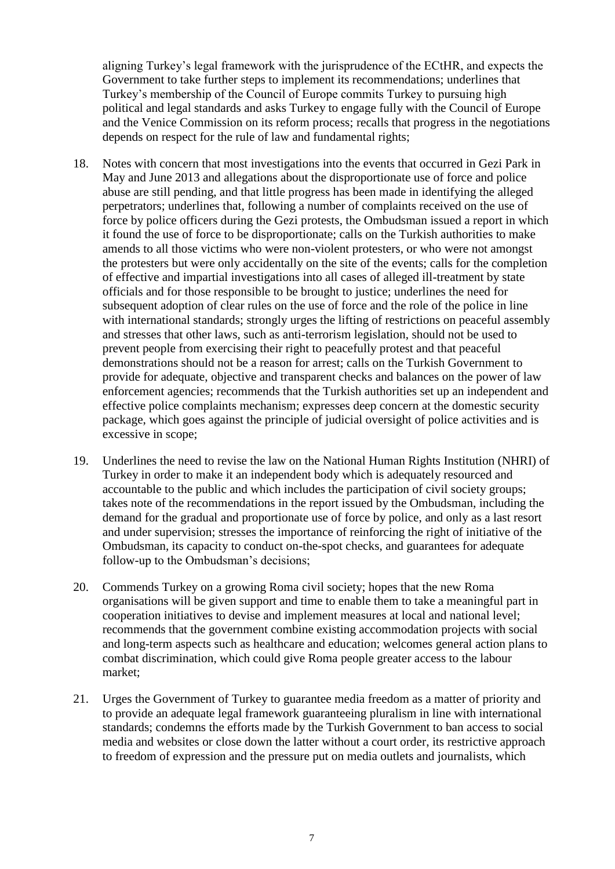aligning Turkey's legal framework with the jurisprudence of the ECtHR, and expects the Government to take further steps to implement its recommendations; underlines that Turkey's membership of the Council of Europe commits Turkey to pursuing high political and legal standards and asks Turkey to engage fully with the Council of Europe and the Venice Commission on its reform process; recalls that progress in the negotiations depends on respect for the rule of law and fundamental rights;

- 18. Notes with concern that most investigations into the events that occurred in Gezi Park in May and June 2013 and allegations about the disproportionate use of force and police abuse are still pending, and that little progress has been made in identifying the alleged perpetrators; underlines that, following a number of complaints received on the use of force by police officers during the Gezi protests, the Ombudsman issued a report in which it found the use of force to be disproportionate; calls on the Turkish authorities to make amends to all those victims who were non-violent protesters, or who were not amongst the protesters but were only accidentally on the site of the events; calls for the completion of effective and impartial investigations into all cases of alleged ill-treatment by state officials and for those responsible to be brought to justice; underlines the need for subsequent adoption of clear rules on the use of force and the role of the police in line with international standards; strongly urges the lifting of restrictions on peaceful assembly and stresses that other laws, such as anti-terrorism legislation, should not be used to prevent people from exercising their right to peacefully protest and that peaceful demonstrations should not be a reason for arrest; calls on the Turkish Government to provide for adequate, objective and transparent checks and balances on the power of law enforcement agencies; recommends that the Turkish authorities set up an independent and effective police complaints mechanism; expresses deep concern at the domestic security package, which goes against the principle of judicial oversight of police activities and is excessive in scope;
- 19. Underlines the need to revise the law on the National Human Rights Institution (NHRI) of Turkey in order to make it an independent body which is adequately resourced and accountable to the public and which includes the participation of civil society groups; takes note of the recommendations in the report issued by the Ombudsman, including the demand for the gradual and proportionate use of force by police, and only as a last resort and under supervision; stresses the importance of reinforcing the right of initiative of the Ombudsman, its capacity to conduct on-the-spot checks, and guarantees for adequate follow-up to the Ombudsman's decisions;
- 20. Commends Turkey on a growing Roma civil society; hopes that the new Roma organisations will be given support and time to enable them to take a meaningful part in cooperation initiatives to devise and implement measures at local and national level; recommends that the government combine existing accommodation projects with social and long-term aspects such as healthcare and education; welcomes general action plans to combat discrimination, which could give Roma people greater access to the labour market;
- 21. Urges the Government of Turkey to guarantee media freedom as a matter of priority and to provide an adequate legal framework guaranteeing pluralism in line with international standards; condemns the efforts made by the Turkish Government to ban access to social media and websites or close down the latter without a court order, its restrictive approach to freedom of expression and the pressure put on media outlets and journalists, which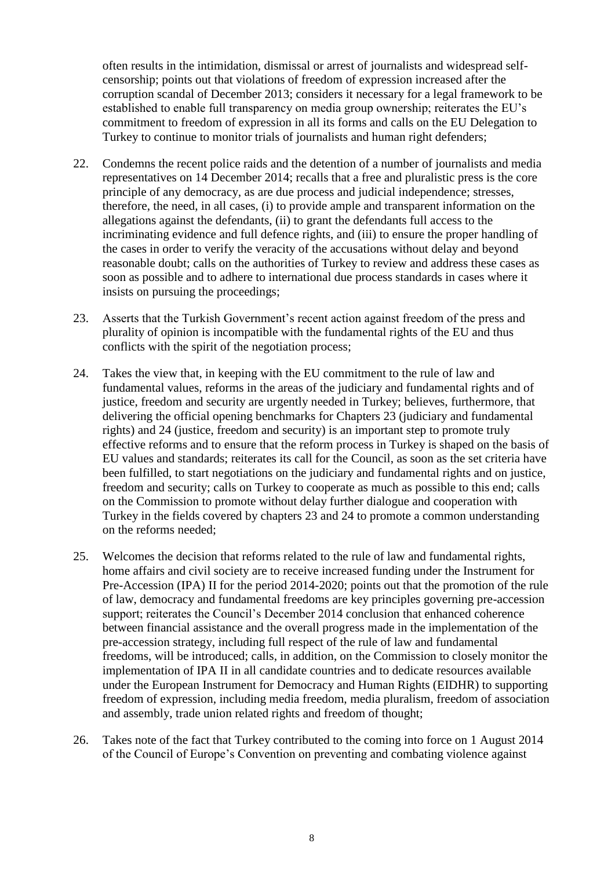often results in the intimidation, dismissal or arrest of journalists and widespread selfcensorship; points out that violations of freedom of expression increased after the corruption scandal of December 2013; considers it necessary for a legal framework to be established to enable full transparency on media group ownership; reiterates the EU's commitment to freedom of expression in all its forms and calls on the EU Delegation to Turkey to continue to monitor trials of journalists and human right defenders;

- 22. Condemns the recent police raids and the detention of a number of journalists and media representatives on 14 December 2014; recalls that a free and pluralistic press is the core principle of any democracy, as are due process and judicial independence; stresses, therefore, the need, in all cases, (i) to provide ample and transparent information on the allegations against the defendants, (ii) to grant the defendants full access to the incriminating evidence and full defence rights, and (iii) to ensure the proper handling of the cases in order to verify the veracity of the accusations without delay and beyond reasonable doubt; calls on the authorities of Turkey to review and address these cases as soon as possible and to adhere to international due process standards in cases where it insists on pursuing the proceedings;
- 23. Asserts that the Turkish Government's recent action against freedom of the press and plurality of opinion is incompatible with the fundamental rights of the EU and thus conflicts with the spirit of the negotiation process;
- 24. Takes the view that, in keeping with the EU commitment to the rule of law and fundamental values, reforms in the areas of the judiciary and fundamental rights and of justice, freedom and security are urgently needed in Turkey; believes, furthermore, that delivering the official opening benchmarks for Chapters 23 (judiciary and fundamental rights) and 24 (justice, freedom and security) is an important step to promote truly effective reforms and to ensure that the reform process in Turkey is shaped on the basis of EU values and standards; reiterates its call for the Council, as soon as the set criteria have been fulfilled, to start negotiations on the judiciary and fundamental rights and on justice, freedom and security; calls on Turkey to cooperate as much as possible to this end; calls on the Commission to promote without delay further dialogue and cooperation with Turkey in the fields covered by chapters 23 and 24 to promote a common understanding on the reforms needed;
- 25. Welcomes the decision that reforms related to the rule of law and fundamental rights, home affairs and civil society are to receive increased funding under the Instrument for Pre-Accession (IPA) II for the period 2014-2020; points out that the promotion of the rule of law, democracy and fundamental freedoms are key principles governing pre-accession support; reiterates the Council's December 2014 conclusion that enhanced coherence between financial assistance and the overall progress made in the implementation of the pre-accession strategy, including full respect of the rule of law and fundamental freedoms, will be introduced; calls, in addition, on the Commission to closely monitor the implementation of IPA II in all candidate countries and to dedicate resources available under the European Instrument for Democracy and Human Rights (EIDHR) to supporting freedom of expression, including media freedom, media pluralism, freedom of association and assembly, trade union related rights and freedom of thought;
- 26. Takes note of the fact that Turkey contributed to the coming into force on 1 August 2014 of the Council of Europe's Convention on preventing and combating violence against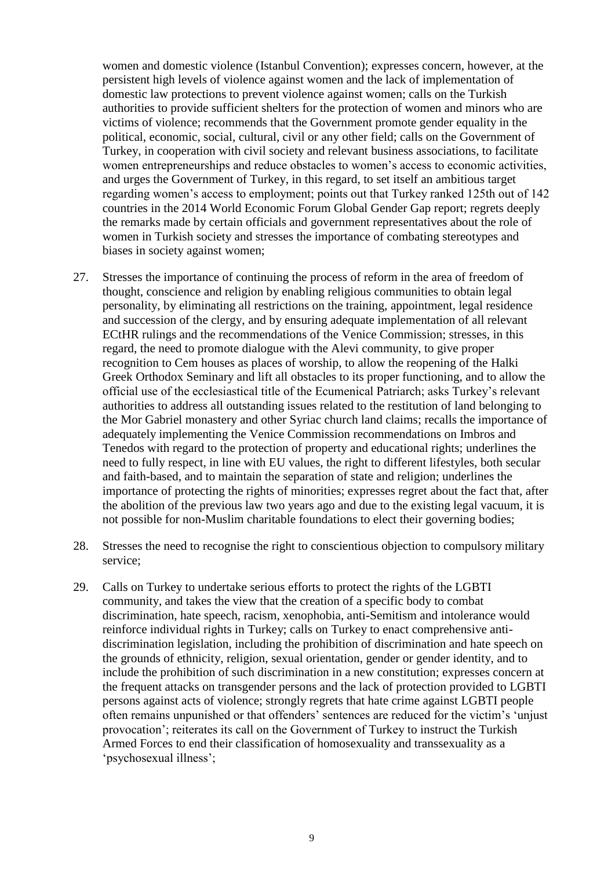women and domestic violence (Istanbul Convention); expresses concern, however, at the persistent high levels of violence against women and the lack of implementation of domestic law protections to prevent violence against women; calls on the Turkish authorities to provide sufficient shelters for the protection of women and minors who are victims of violence; recommends that the Government promote gender equality in the political, economic, social, cultural, civil or any other field; calls on the Government of Turkey, in cooperation with civil society and relevant business associations, to facilitate women entrepreneurships and reduce obstacles to women's access to economic activities, and urges the Government of Turkey, in this regard, to set itself an ambitious target regarding women's access to employment; points out that Turkey ranked 125th out of 142 countries in the 2014 World Economic Forum Global Gender Gap report; regrets deeply the remarks made by certain officials and government representatives about the role of women in Turkish society and stresses the importance of combating stereotypes and biases in society against women;

- 27. Stresses the importance of continuing the process of reform in the area of freedom of thought, conscience and religion by enabling religious communities to obtain legal personality, by eliminating all restrictions on the training, appointment, legal residence and succession of the clergy, and by ensuring adequate implementation of all relevant ECtHR rulings and the recommendations of the Venice Commission; stresses, in this regard, the need to promote dialogue with the Alevi community, to give proper recognition to Cem houses as places of worship, to allow the reopening of the Halki Greek Orthodox Seminary and lift all obstacles to its proper functioning, and to allow the official use of the ecclesiastical title of the Ecumenical Patriarch; asks Turkey's relevant authorities to address all outstanding issues related to the restitution of land belonging to the Mor Gabriel monastery and other Syriac church land claims; recalls the importance of adequately implementing the Venice Commission recommendations on Imbros and Tenedos with regard to the protection of property and educational rights; underlines the need to fully respect, in line with EU values, the right to different lifestyles, both secular and faith-based, and to maintain the separation of state and religion; underlines the importance of protecting the rights of minorities; expresses regret about the fact that, after the abolition of the previous law two years ago and due to the existing legal vacuum, it is not possible for non-Muslim charitable foundations to elect their governing bodies;
- 28. Stresses the need to recognise the right to conscientious objection to compulsory military service;
- 29. Calls on Turkey to undertake serious efforts to protect the rights of the LGBTI community, and takes the view that the creation of a specific body to combat discrimination, hate speech, racism, xenophobia, anti-Semitism and intolerance would reinforce individual rights in Turkey; calls on Turkey to enact comprehensive antidiscrimination legislation, including the prohibition of discrimination and hate speech on the grounds of ethnicity, religion, sexual orientation, gender or gender identity, and to include the prohibition of such discrimination in a new constitution; expresses concern at the frequent attacks on transgender persons and the lack of protection provided to LGBTI persons against acts of violence; strongly regrets that hate crime against LGBTI people often remains unpunished or that offenders' sentences are reduced for the victim's 'unjust provocation'; reiterates its call on the Government of Turkey to instruct the Turkish Armed Forces to end their classification of homosexuality and transsexuality as a 'psychosexual illness';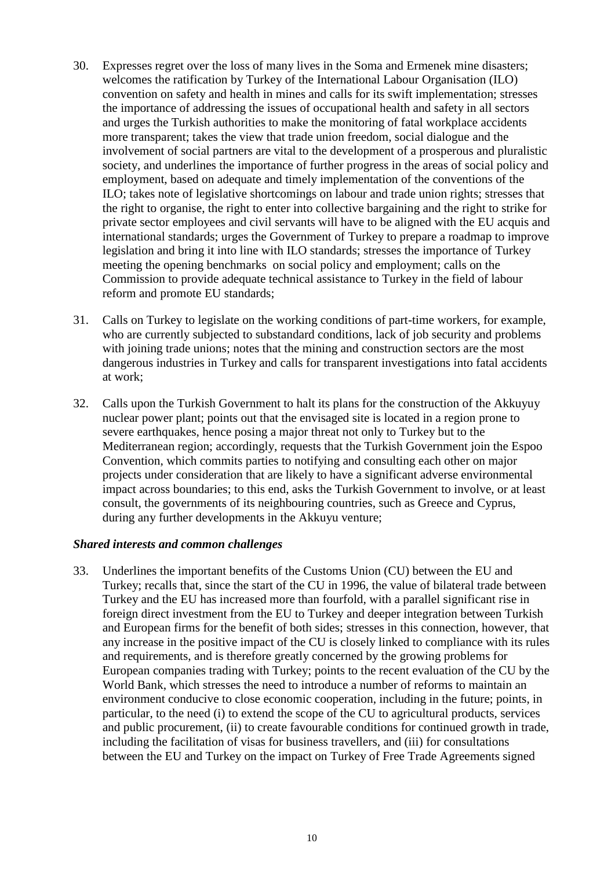- 30. Expresses regret over the loss of many lives in the Soma and Ermenek mine disasters; welcomes the ratification by Turkey of the International Labour Organisation (ILO) convention on safety and health in mines and calls for its swift implementation; stresses the importance of addressing the issues of occupational health and safety in all sectors and urges the Turkish authorities to make the monitoring of fatal workplace accidents more transparent; takes the view that trade union freedom, social dialogue and the involvement of social partners are vital to the development of a prosperous and pluralistic society, and underlines the importance of further progress in the areas of social policy and employment, based on adequate and timely implementation of the conventions of the ILO; takes note of legislative shortcomings on labour and trade union rights; stresses that the right to organise, the right to enter into collective bargaining and the right to strike for private sector employees and civil servants will have to be aligned with the EU acquis and international standards; urges the Government of Turkey to prepare a roadmap to improve legislation and bring it into line with ILO standards; stresses the importance of Turkey meeting the opening benchmarks on social policy and employment; calls on the Commission to provide adequate technical assistance to Turkey in the field of labour reform and promote EU standards;
- 31. Calls on Turkey to legislate on the working conditions of part-time workers, for example, who are currently subjected to substandard conditions, lack of job security and problems with joining trade unions; notes that the mining and construction sectors are the most dangerous industries in Turkey and calls for transparent investigations into fatal accidents at work;
- 32. Calls upon the Turkish Government to halt its plans for the construction of the Akkuyuy nuclear power plant; points out that the envisaged site is located in a region prone to severe earthquakes, hence posing a major threat not only to Turkey but to the Mediterranean region; accordingly, requests that the Turkish Government join the Espoo Convention, which commits parties to notifying and consulting each other on major projects under consideration that are likely to have a significant adverse environmental impact across boundaries; to this end, asks the Turkish Government to involve, or at least consult, the governments of its neighbouring countries, such as Greece and Cyprus, during any further developments in the Akkuyu venture;

#### *Shared interests and common challenges*

33. Underlines the important benefits of the Customs Union (CU) between the EU and Turkey; recalls that, since the start of the CU in 1996, the value of bilateral trade between Turkey and the EU has increased more than fourfold, with a parallel significant rise in foreign direct investment from the EU to Turkey and deeper integration between Turkish and European firms for the benefit of both sides; stresses in this connection, however, that any increase in the positive impact of the CU is closely linked to compliance with its rules and requirements, and is therefore greatly concerned by the growing problems for European companies trading with Turkey; points to the recent evaluation of the CU by the World Bank, which stresses the need to introduce a number of reforms to maintain an environment conducive to close economic cooperation, including in the future; points, in particular, to the need (i) to extend the scope of the CU to agricultural products, services and public procurement, (ii) to create favourable conditions for continued growth in trade, including the facilitation of visas for business travellers, and (iii) for consultations between the EU and Turkey on the impact on Turkey of Free Trade Agreements signed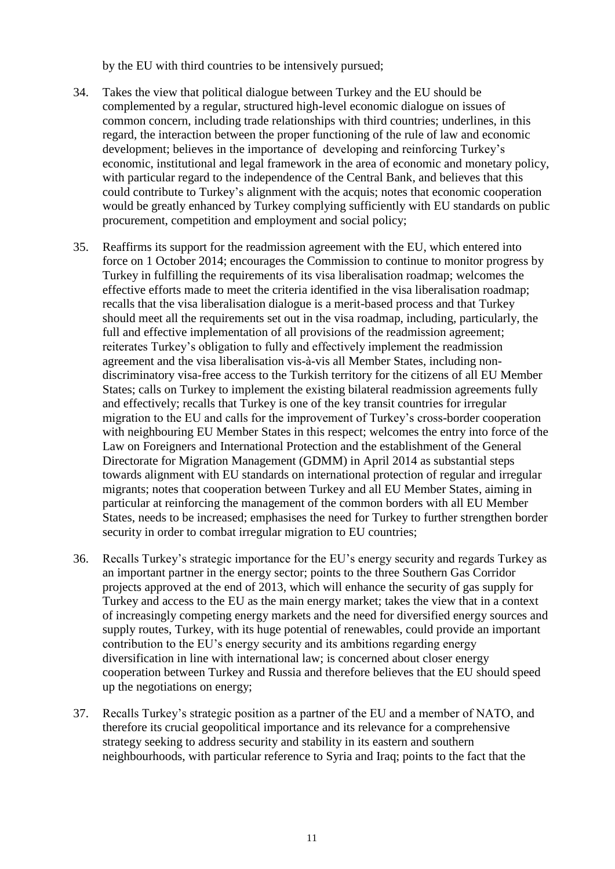by the EU with third countries to be intensively pursued;

- 34. Takes the view that political dialogue between Turkey and the EU should be complemented by a regular, structured high-level economic dialogue on issues of common concern, including trade relationships with third countries; underlines, in this regard, the interaction between the proper functioning of the rule of law and economic development; believes in the importance of developing and reinforcing Turkey's economic, institutional and legal framework in the area of economic and monetary policy, with particular regard to the independence of the Central Bank, and believes that this could contribute to Turkey's alignment with the acquis; notes that economic cooperation would be greatly enhanced by Turkey complying sufficiently with EU standards on public procurement, competition and employment and social policy;
- 35. Reaffirms its support for the readmission agreement with the EU, which entered into force on 1 October 2014; encourages the Commission to continue to monitor progress by Turkey in fulfilling the requirements of its visa liberalisation roadmap; welcomes the effective efforts made to meet the criteria identified in the visa liberalisation roadmap; recalls that the visa liberalisation dialogue is a merit-based process and that Turkey should meet all the requirements set out in the visa roadmap, including, particularly, the full and effective implementation of all provisions of the readmission agreement; reiterates Turkey's obligation to fully and effectively implement the readmission agreement and the visa liberalisation vis-à-vis all Member States, including nondiscriminatory visa-free access to the Turkish territory for the citizens of all EU Member States; calls on Turkey to implement the existing bilateral readmission agreements fully and effectively; recalls that Turkey is one of the key transit countries for irregular migration to the EU and calls for the improvement of Turkey's cross-border cooperation with neighbouring EU Member States in this respect; welcomes the entry into force of the Law on Foreigners and International Protection and the establishment of the General Directorate for Migration Management (GDMM) in April 2014 as substantial steps towards alignment with EU standards on international protection of regular and irregular migrants; notes that cooperation between Turkey and all EU Member States, aiming in particular at reinforcing the management of the common borders with all EU Member States, needs to be increased; emphasises the need for Turkey to further strengthen border security in order to combat irregular migration to EU countries;
- 36. Recalls Turkey's strategic importance for the EU's energy security and regards Turkey as an important partner in the energy sector; points to the three Southern Gas Corridor projects approved at the end of 2013, which will enhance the security of gas supply for Turkey and access to the EU as the main energy market; takes the view that in a context of increasingly competing energy markets and the need for diversified energy sources and supply routes, Turkey, with its huge potential of renewables, could provide an important contribution to the EU's energy security and its ambitions regarding energy diversification in line with international law; is concerned about closer energy cooperation between Turkey and Russia and therefore believes that the EU should speed up the negotiations on energy;
- 37. Recalls Turkey's strategic position as a partner of the EU and a member of NATO, and therefore its crucial geopolitical importance and its relevance for a comprehensive strategy seeking to address security and stability in its eastern and southern neighbourhoods, with particular reference to Syria and Iraq; points to the fact that the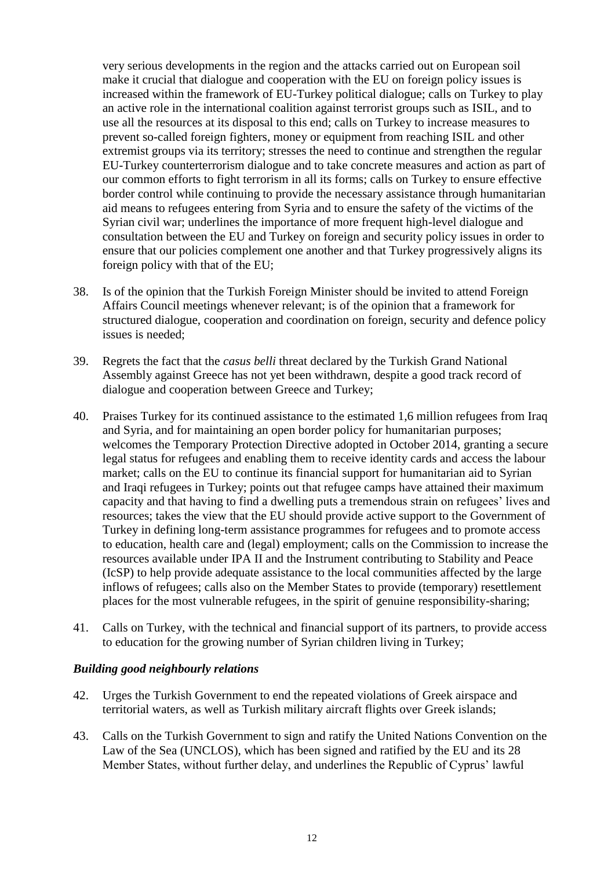very serious developments in the region and the attacks carried out on European soil make it crucial that dialogue and cooperation with the EU on foreign policy issues is increased within the framework of EU-Turkey political dialogue; calls on Turkey to play an active role in the international coalition against terrorist groups such as ISIL, and to use all the resources at its disposal to this end; calls on Turkey to increase measures to prevent so-called foreign fighters, money or equipment from reaching ISIL and other extremist groups via its territory; stresses the need to continue and strengthen the regular EU-Turkey counterterrorism dialogue and to take concrete measures and action as part of our common efforts to fight terrorism in all its forms; calls on Turkey to ensure effective border control while continuing to provide the necessary assistance through humanitarian aid means to refugees entering from Syria and to ensure the safety of the victims of the Syrian civil war; underlines the importance of more frequent high-level dialogue and consultation between the EU and Turkey on foreign and security policy issues in order to ensure that our policies complement one another and that Turkey progressively aligns its foreign policy with that of the EU;

- 38. Is of the opinion that the Turkish Foreign Minister should be invited to attend Foreign Affairs Council meetings whenever relevant; is of the opinion that a framework for structured dialogue, cooperation and coordination on foreign, security and defence policy issues is needed;
- 39. Regrets the fact that the *casus belli* threat declared by the Turkish Grand National Assembly against Greece has not yet been withdrawn, despite a good track record of dialogue and cooperation between Greece and Turkey;
- 40. Praises Turkey for its continued assistance to the estimated 1,6 million refugees from Iraq and Syria, and for maintaining an open border policy for humanitarian purposes; welcomes the Temporary Protection Directive adopted in October 2014, granting a secure legal status for refugees and enabling them to receive identity cards and access the labour market; calls on the EU to continue its financial support for humanitarian aid to Syrian and Iraqi refugees in Turkey; points out that refugee camps have attained their maximum capacity and that having to find a dwelling puts a tremendous strain on refugees' lives and resources; takes the view that the EU should provide active support to the Government of Turkey in defining long-term assistance programmes for refugees and to promote access to education, health care and (legal) employment; calls on the Commission to increase the resources available under IPA II and the Instrument contributing to Stability and Peace (IcSP) to help provide adequate assistance to the local communities affected by the large inflows of refugees; calls also on the Member States to provide (temporary) resettlement places for the most vulnerable refugees, in the spirit of genuine responsibility-sharing;
- 41. Calls on Turkey, with the technical and financial support of its partners, to provide access to education for the growing number of Syrian children living in Turkey;

#### *Building good neighbourly relations*

- 42. Urges the Turkish Government to end the repeated violations of Greek airspace and territorial waters, as well as Turkish military aircraft flights over Greek islands;
- 43. Calls on the Turkish Government to sign and ratify the United Nations Convention on the Law of the Sea (UNCLOS), which has been signed and ratified by the EU and its 28 Member States, without further delay, and underlines the Republic of Cyprus' lawful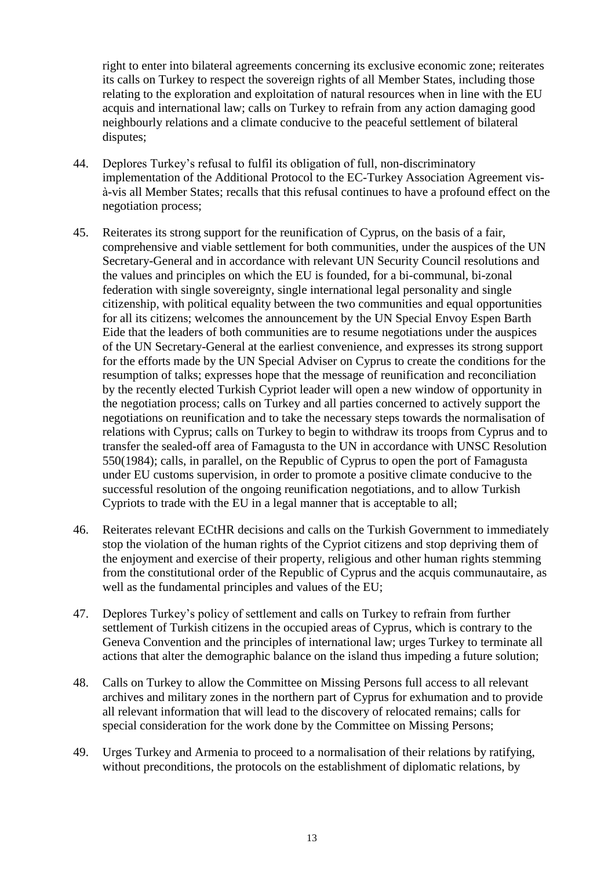right to enter into bilateral agreements concerning its exclusive economic zone; reiterates its calls on Turkey to respect the sovereign rights of all Member States, including those relating to the exploration and exploitation of natural resources when in line with the EU acquis and international law; calls on Turkey to refrain from any action damaging good neighbourly relations and a climate conducive to the peaceful settlement of bilateral disputes;

- 44. Deplores Turkey's refusal to fulfil its obligation of full, non-discriminatory implementation of the Additional Protocol to the EC-Turkey Association Agreement visà-vis all Member States; recalls that this refusal continues to have a profound effect on the negotiation process;
- 45. Reiterates its strong support for the reunification of Cyprus, on the basis of a fair, comprehensive and viable settlement for both communities, under the auspices of the UN Secretary-General and in accordance with relevant UN Security Council resolutions and the values and principles on which the EU is founded, for a bi-communal, bi-zonal federation with single sovereignty, single international legal personality and single citizenship, with political equality between the two communities and equal opportunities for all its citizens; welcomes the announcement by the UN Special Envoy Espen Barth Eide that the leaders of both communities are to resume negotiations under the auspices of the UN Secretary-General at the earliest convenience, and expresses its strong support for the efforts made by the UN Special Adviser on Cyprus to create the conditions for the resumption of talks; expresses hope that the message of reunification and reconciliation by the recently elected Turkish Cypriot leader will open a new window of opportunity in the negotiation process; calls on Turkey and all parties concerned to actively support the negotiations on reunification and to take the necessary steps towards the normalisation of relations with Cyprus; calls on Turkey to begin to withdraw its troops from Cyprus and to transfer the sealed-off area of Famagusta to the UN in accordance with UNSC Resolution 550(1984); calls, in parallel, on the Republic of Cyprus to open the port of Famagusta under EU customs supervision, in order to promote a positive climate conducive to the successful resolution of the ongoing reunification negotiations, and to allow Turkish Cypriots to trade with the EU in a legal manner that is acceptable to all;
- 46. Reiterates relevant ECtHR decisions and calls on the Turkish Government to immediately stop the violation of the human rights of the Cypriot citizens and stop depriving them of the enjoyment and exercise of their property, religious and other human rights stemming from the constitutional order of the Republic of Cyprus and the acquis communautaire, as well as the fundamental principles and values of the EU;
- 47. Deplores Turkey's policy of settlement and calls on Turkey to refrain from further settlement of Turkish citizens in the occupied areas of Cyprus, which is contrary to the Geneva Convention and the principles of international law; urges Turkey to terminate all actions that alter the demographic balance on the island thus impeding a future solution;
- 48. Calls on Turkey to allow the Committee on Missing Persons full access to all relevant archives and military zones in the northern part of Cyprus for exhumation and to provide all relevant information that will lead to the discovery of relocated remains; calls for special consideration for the work done by the Committee on Missing Persons;
- 49. Urges Turkey and Armenia to proceed to a normalisation of their relations by ratifying, without preconditions, the protocols on the establishment of diplomatic relations, by